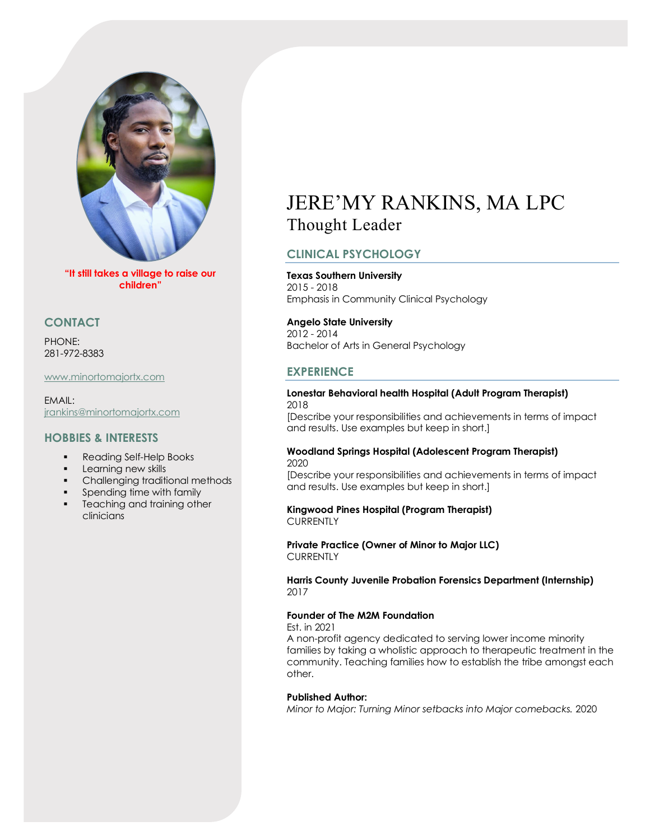

**"It still takes a village to raise our children"**

## **CONTACT**

PHONE: 281-972-8383

## <www.minortomajortx.com>

EMAIL: [jrankins@minortomajortx.com](mailto:jrankins@minortomajortx.com)

## **HOBBIES & INTERESTS**

- Reading Self-Help Books
- Learning new skills
- Challenging traditional methods
- **Spending time with family**
- **Teaching and training other** clinicians

# JERE'MY RANKINS, MA LPC Thought Leader

# **CLINICAL PSYCHOLOGY**

**Texas Southern University** 2015 - 2018 Emphasis in Community Clinical Psychology

## **Angelo State University**

2012 - 2014 Bachelor of Arts in General Psychology

## **EXPERIENCE**

#### **Lonestar Behavioral health Hospital (Adult Program Therapist)** 2018

[Describe your responsibilities and achievements in terms of impact and results. Use examples but keep in short.]

#### **Woodland Springs Hospital (Adolescent Program Therapist)** 2020

[Describe your responsibilities and achievements in terms of impact and results. Use examples but keep in short.]

## **Kingwood Pines Hospital (Program Therapist) CURRENTLY**

**Private Practice (Owner of Minor to Major LLC) CURRENTLY** 

**Harris County Juvenile Probation Forensics Department (Internship)** 2017

## **Founder of The M2M Foundation**

Est. in 2021

A non-profit agency dedicated to serving lower income minority families by taking a wholistic approach to therapeutic treatment in the community. Teaching families how to establish the tribe amongst each other.

## **Published Author:**

*Minor to Major: Turning Minor setbacks into Major comebacks.* 2020